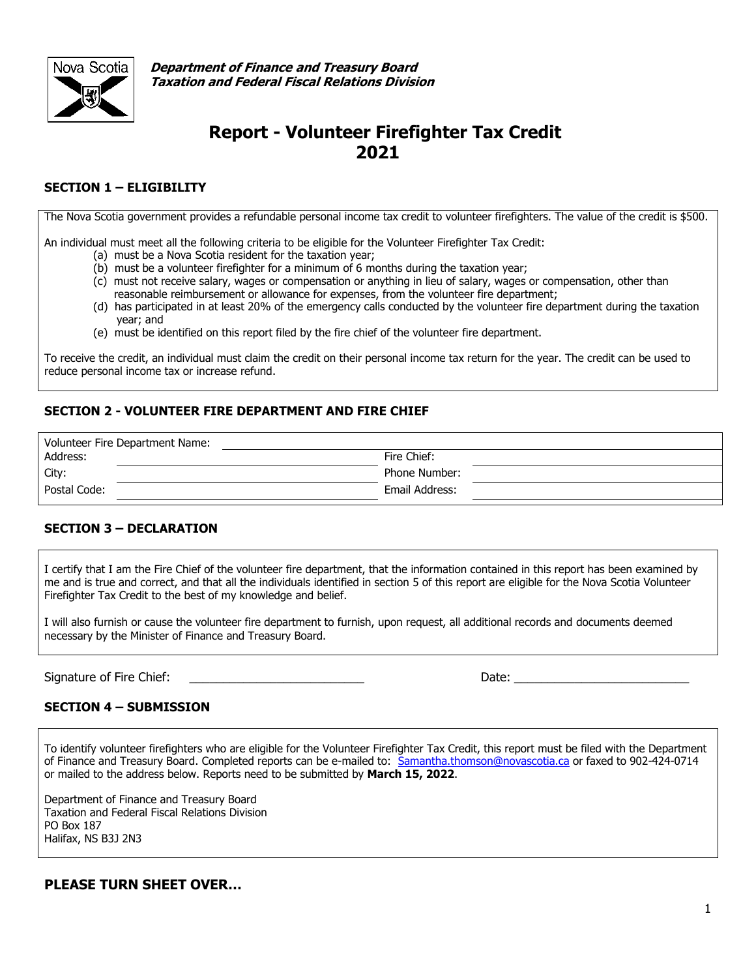

**Department of Finance and Treasury Board Taxation and Federal Fiscal Relations Division**

# **Report - Volunteer Firefighter Tax Credit 2021**

### **SECTION 1 – ELIGIBILITY**

The Nova Scotia government provides a refundable personal income tax credit to volunteer firefighters. The value of the credit is \$500.

An individual must meet all the following criteria to be eligible for the Volunteer Firefighter Tax Credit:

- (a) must be a Nova Scotia resident for the taxation year;
- (b) must be a volunteer firefighter for a minimum of 6 months during the taxation year;
- (c) must not receive salary, wages or compensation or anything in lieu of salary, wages or compensation, other than reasonable reimbursement or allowance for expenses, from the volunteer fire department;
- (d) has participated in at least 20% of the emergency calls conducted by the volunteer fire department during the taxation year; and
- (e) must be identified on this report filed by the fire chief of the volunteer fire department.

To receive the credit, an individual must claim the credit on their personal income tax return for the year. The credit can be used to reduce personal income tax or increase refund.

## **SECTION 2 - VOLUNTEER FIRE DEPARTMENT AND FIRE CHIEF**

| Volunteer Fire Department Name: |                |  |  |  |  |  |
|---------------------------------|----------------|--|--|--|--|--|
| Address:                        | Fire Chief:    |  |  |  |  |  |
| City:                           | Phone Number:  |  |  |  |  |  |
| Postal Code:                    | Email Address: |  |  |  |  |  |

#### **SECTION 3 – DECLARATION**

I certify that I am the Fire Chief of the volunteer fire department, that the information contained in this report has been examined by me and is true and correct, and that all the individuals identified in section 5 of this report are eligible for the Nova Scotia Volunteer Firefighter Tax Credit to the best of my knowledge and belief.

I will also furnish or cause the volunteer fire department to furnish, upon request, all additional records and documents deemed necessary by the Minister of Finance and Treasury Board.

Signature of Fire Chief: \_\_\_\_\_\_\_\_\_\_\_\_\_\_\_\_\_\_\_\_\_\_\_\_\_\_ Date: \_\_\_\_\_\_\_\_\_\_\_\_\_\_\_\_\_\_\_\_\_\_\_\_\_\_

#### **SECTION 4 – SUBMISSION**

To identify volunteer firefighters who are eligible for the Volunteer Firefighter Tax Credit, this report must be filed with the Department of Finance and Treasury Board. Completed reports can be e-mailed to: [Samantha.thomson@novascotia.ca](mailto:Samantha.thomson@novascotia.ca) or faxed to 902-424-0714 or mailed to the address below. Reports need to be submitted by **March 15, 2022**.

Department of Finance and Treasury Board Taxation and Federal Fiscal Relations Division PO Box 187 Halifax, NS B3J 2N3

## **PLEASE TURN SHEET OVER…**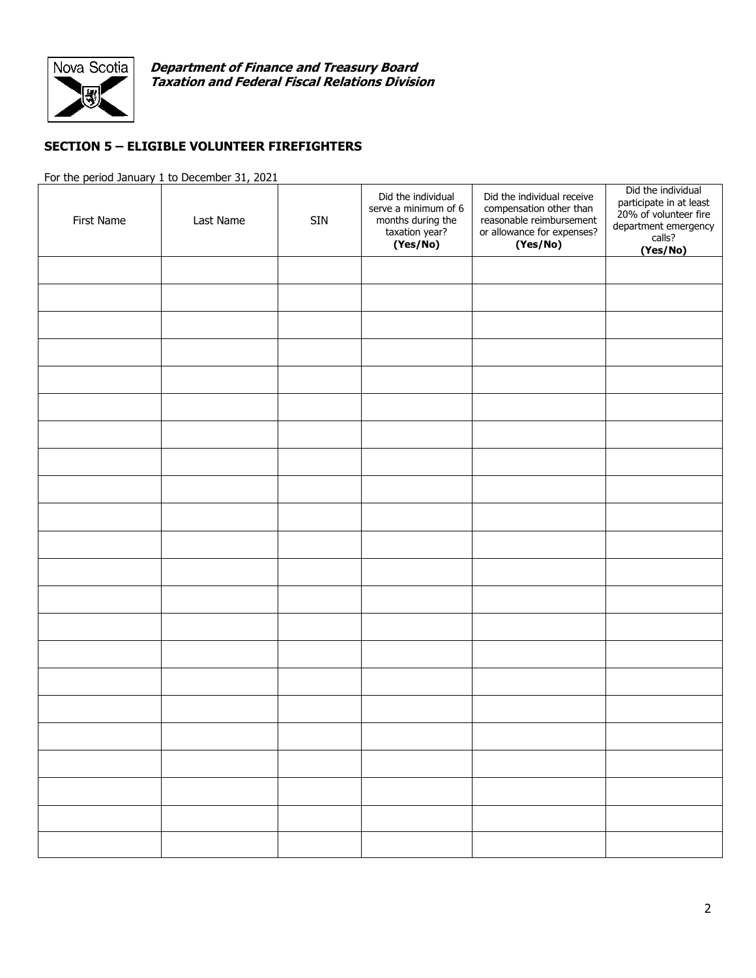

**Department of Finance and Treasury Board Taxation and Federal Fiscal Relations Division**

## **SECTION 5 – ELIGIBLE VOLUNTEER FIREFIGHTERS**

For the period January 1 to December 31, 2021

| First Name | Last Name | <b>SIN</b> | Did the individual<br>serve a minimum of 6<br>months during the<br>taxation year?<br>(Yes/No) | Did the individual receive<br>compensation other than<br>reasonable reimbursement<br>or allowance for expenses?<br>(Yes/No) | Did the individual<br>participate in at least<br>20% of volunteer fire<br>department emergency<br>calls?<br>(Yes/No) |
|------------|-----------|------------|-----------------------------------------------------------------------------------------------|-----------------------------------------------------------------------------------------------------------------------------|----------------------------------------------------------------------------------------------------------------------|
|            |           |            |                                                                                               |                                                                                                                             |                                                                                                                      |
|            |           |            |                                                                                               |                                                                                                                             |                                                                                                                      |
|            |           |            |                                                                                               |                                                                                                                             |                                                                                                                      |
|            |           |            |                                                                                               |                                                                                                                             |                                                                                                                      |
|            |           |            |                                                                                               |                                                                                                                             |                                                                                                                      |
|            |           |            |                                                                                               |                                                                                                                             |                                                                                                                      |
|            |           |            |                                                                                               |                                                                                                                             |                                                                                                                      |
|            |           |            |                                                                                               |                                                                                                                             |                                                                                                                      |
|            |           |            |                                                                                               |                                                                                                                             |                                                                                                                      |
|            |           |            |                                                                                               |                                                                                                                             |                                                                                                                      |
|            |           |            |                                                                                               |                                                                                                                             |                                                                                                                      |
|            |           |            |                                                                                               |                                                                                                                             |                                                                                                                      |
|            |           |            |                                                                                               |                                                                                                                             |                                                                                                                      |
|            |           |            |                                                                                               |                                                                                                                             |                                                                                                                      |
|            |           |            |                                                                                               |                                                                                                                             |                                                                                                                      |
|            |           |            |                                                                                               |                                                                                                                             |                                                                                                                      |
|            |           |            |                                                                                               |                                                                                                                             |                                                                                                                      |
|            |           |            |                                                                                               |                                                                                                                             |                                                                                                                      |
|            |           |            |                                                                                               |                                                                                                                             |                                                                                                                      |
|            |           |            |                                                                                               |                                                                                                                             |                                                                                                                      |
|            |           |            |                                                                                               |                                                                                                                             |                                                                                                                      |
|            |           |            |                                                                                               |                                                                                                                             |                                                                                                                      |